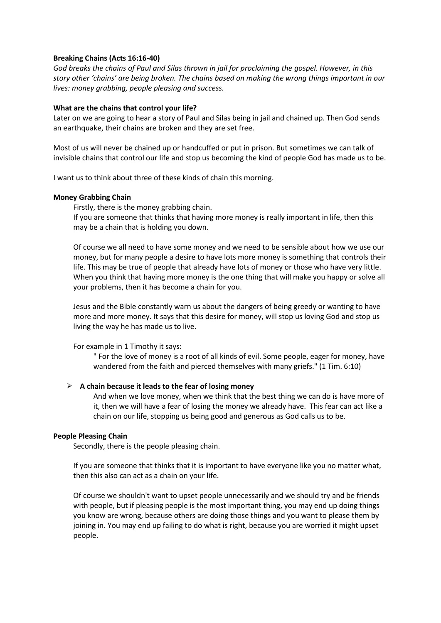# **Breaking Chains (Acts 16:16-40)**

*God breaks the chains of Paul and Silas thrown in jail for proclaiming the gospel. However, in this story other 'chains' are being broken. The chains based on making the wrong things important in our lives: money grabbing, people pleasing and success.*

## **What are the chains that control your life?**

Later on we are going to hear a story of Paul and Silas being in jail and chained up. Then God sends an earthquake, their chains are broken and they are set free.

Most of us will never be chained up or handcuffed or put in prison. But sometimes we can talk of invisible chains that control our life and stop us becoming the kind of people God has made us to be.

I want us to think about three of these kinds of chain this morning.

## **Money Grabbing Chain**

Firstly, there is the money grabbing chain.

If you are someone that thinks that having more money is really important in life, then this may be a chain that is holding you down.

Of course we all need to have some money and we need to be sensible about how we use our money, but for many people a desire to have lots more money is something that controls their life. This may be true of people that already have lots of money or those who have very little. When you think that having more money is the one thing that will make you happy or solve all your problems, then it has become a chain for you.

Jesus and the Bible constantly warn us about the dangers of being greedy or wanting to have more and more money. It says that this desire for money, will stop us loving God and stop us living the way he has made us to live.

## For example in 1 Timothy it says:

" For the love of money is a root of all kinds of evil. Some people, eager for money, have wandered from the faith and pierced themselves with many griefs." (1 Tim. 6:10)

## ➢ **A chain because it leads to the fear of losing money**

And when we love money, when we think that the best thing we can do is have more of it, then we will have a fear of losing the money we already have. This fear can act like a chain on our life, stopping us being good and generous as God calls us to be.

## **People Pleasing Chain**

Secondly, there is the people pleasing chain.

If you are someone that thinks that it is important to have everyone like you no matter what, then this also can act as a chain on your life.

Of course we shouldn't want to upset people unnecessarily and we should try and be friends with people, but if pleasing people is the most important thing, you may end up doing things you know are wrong, because others are doing those things and you want to please them by joining in. You may end up failing to do what is right, because you are worried it might upset people.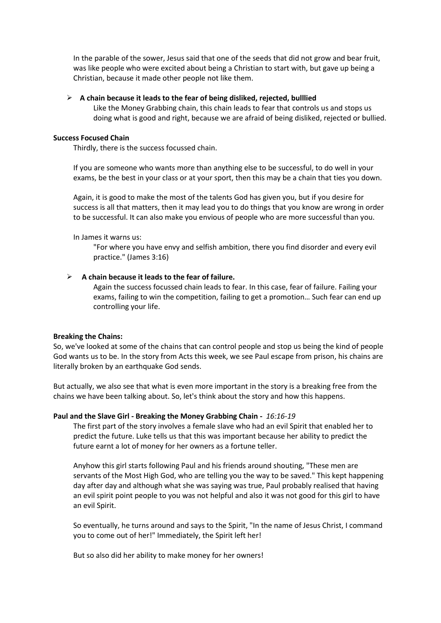In the parable of the sower, Jesus said that one of the seeds that did not grow and bear fruit, was like people who were excited about being a Christian to start with, but gave up being a Christian, because it made other people not like them.

## ➢ **A chain because it leads to the fear of being disliked, rejected, bulllied**

Like the Money Grabbing chain, this chain leads to fear that controls us and stops us doing what is good and right, because we are afraid of being disliked, rejected or bullied.

## **Success Focused Chain**

Thirdly, there is the success focussed chain.

If you are someone who wants more than anything else to be successful, to do well in your exams, be the best in your class or at your sport, then this may be a chain that ties you down.

Again, it is good to make the most of the talents God has given you, but if you desire for success is all that matters, then it may lead you to do things that you know are wrong in order to be successful. It can also make you envious of people who are more successful than you.

In James it warns us:

"For where you have envy and selfish ambition, there you find disorder and every evil practice." (James 3:16)

# ➢ **A chain because it leads to the fear of failure.**

Again the success focussed chain leads to fear. In this case, fear of failure. Failing your exams, failing to win the competition, failing to get a promotion… Such fear can end up controlling your life.

## **Breaking the Chains:**

So, we've looked at some of the chains that can control people and stop us being the kind of people God wants us to be. In the story from Acts this week, we see Paul escape from prison, his chains are literally broken by an earthquake God sends.

But actually, we also see that what is even more important in the story is a breaking free from the chains we have been talking about. So, let's think about the story and how this happens.

## **Paul and the Slave Girl - Breaking the Money Grabbing Chain -** *16:16-19*

The first part of the story involves a female slave who had an evil Spirit that enabled her to predict the future. Luke tells us that this was important because her ability to predict the future earnt a lot of money for her owners as a fortune teller.

Anyhow this girl starts following Paul and his friends around shouting, "These men are servants of the Most High God, who are telling you the way to be saved." This kept happening day after day and although what she was saying was true, Paul probably realised that having an evil spirit point people to you was not helpful and also it was not good for this girl to have an evil Spirit.

So eventually, he turns around and says to the Spirit, "In the name of Jesus Christ, I command you to come out of her!" Immediately, the Spirit left her!

But so also did her ability to make money for her owners!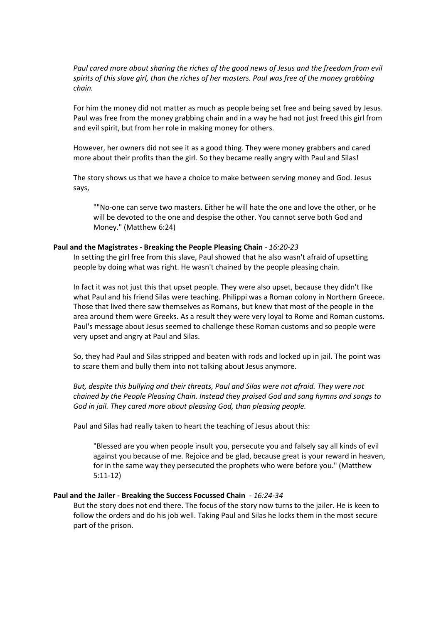*Paul cared more about sharing the riches of the good news of Jesus and the freedom from evil spirits of this slave girl, than the riches of her masters. Paul was free of the money grabbing chain.*

For him the money did not matter as much as people being set free and being saved by Jesus. Paul was free from the money grabbing chain and in a way he had not just freed this girl from and evil spirit, but from her role in making money for others.

However, her owners did not see it as a good thing. They were money grabbers and cared more about their profits than the girl. So they became really angry with Paul and Silas!

The story shows us that we have a choice to make between serving money and God. Jesus says,

""No-one can serve two masters. Either he will hate the one and love the other, or he will be devoted to the one and despise the other. You cannot serve both God and Money." (Matthew 6:24)

## **Paul and the Magistrates - Breaking the People Pleasing Chain** *- 16:20-23*

In setting the girl free from this slave, Paul showed that he also wasn't afraid of upsetting people by doing what was right. He wasn't chained by the people pleasing chain.

In fact it was not just this that upset people. They were also upset, because they didn't like what Paul and his friend Silas were teaching. Philippi was a Roman colony in Northern Greece. Those that lived there saw themselves as Romans, but knew that most of the people in the area around them were Greeks. As a result they were very loyal to Rome and Roman customs. Paul's message about Jesus seemed to challenge these Roman customs and so people were very upset and angry at Paul and Silas.

So, they had Paul and Silas stripped and beaten with rods and locked up in jail. The point was to scare them and bully them into not talking about Jesus anymore.

*But, despite this bullying and their threats, Paul and Silas were not afraid. They were not chained by the People Pleasing Chain. Instead they praised God and sang hymns and songs to God in jail. They cared more about pleasing God, than pleasing people.* 

Paul and Silas had really taken to heart the teaching of Jesus about this:

"Blessed are you when people insult you, persecute you and falsely say all kinds of evil against you because of me. Rejoice and be glad, because great is your reward in heaven, for in the same way they persecuted the prophets who were before you." (Matthew 5:11-12)

#### **Paul and the Jailer - Breaking the Success Focussed Chain** - *16:24-34*

But the story does not end there. The focus of the story now turns to the jailer. He is keen to follow the orders and do his job well. Taking Paul and Silas he locks them in the most secure part of the prison.